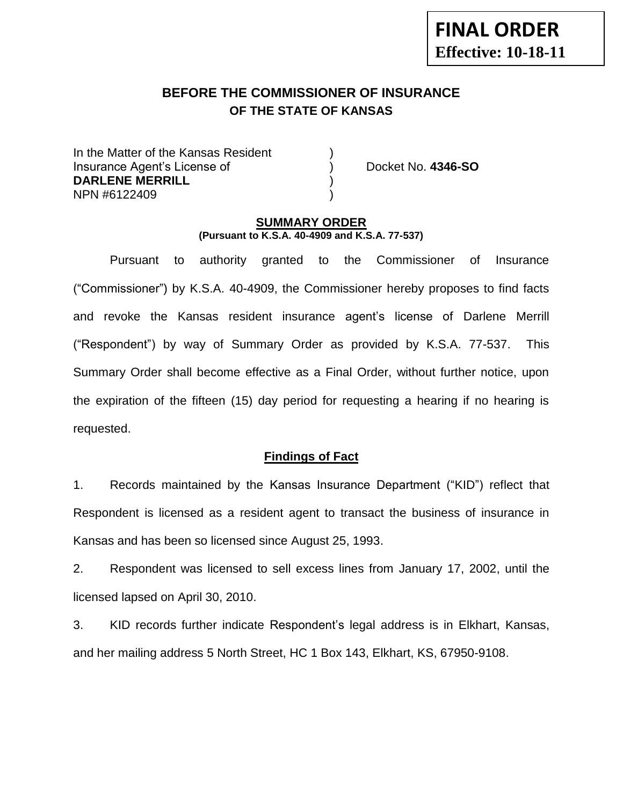# **BEFORE THE COMMISSIONER OF INSURANCE OF THE STATE OF KANSAS**

In the Matter of the Kansas Resident Insurance Agent's License of ) Docket No. **4346-SO DARLENE MERRILL** ) NPN #6122409 )

#### **SUMMARY ORDER (Pursuant to K.S.A. 40-4909 and K.S.A. 77-537)**

Pursuant to authority granted to the Commissioner of Insurance ("Commissioner") by K.S.A. 40-4909, the Commissioner hereby proposes to find facts and revoke the Kansas resident insurance agent's license of Darlene Merrill ("Respondent") by way of Summary Order as provided by K.S.A. 77-537. This Summary Order shall become effective as a Final Order, without further notice, upon the expiration of the fifteen (15) day period for requesting a hearing if no hearing is requested.

### **Findings of Fact**

1. Records maintained by the Kansas Insurance Department ("KID") reflect that Respondent is licensed as a resident agent to transact the business of insurance in Kansas and has been so licensed since August 25, 1993.

2. Respondent was licensed to sell excess lines from January 17, 2002, until the licensed lapsed on April 30, 2010.

3. KID records further indicate Respondent's legal address is in Elkhart, Kansas, and her mailing address 5 North Street, HC 1 Box 143, Elkhart, KS, 67950-9108.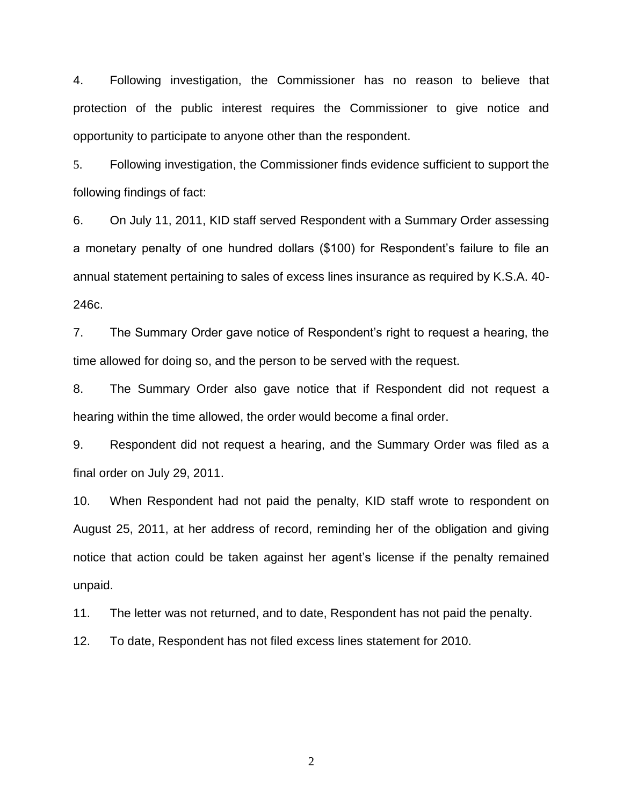4. Following investigation, the Commissioner has no reason to believe that protection of the public interest requires the Commissioner to give notice and opportunity to participate to anyone other than the respondent.

5. Following investigation, the Commissioner finds evidence sufficient to support the following findings of fact:

6. On July 11, 2011, KID staff served Respondent with a Summary Order assessing a monetary penalty of one hundred dollars (\$100) for Respondent's failure to file an annual statement pertaining to sales of excess lines insurance as required by K.S.A. 40- 246c.

7. The Summary Order gave notice of Respondent's right to request a hearing, the time allowed for doing so, and the person to be served with the request.

8. The Summary Order also gave notice that if Respondent did not request a hearing within the time allowed, the order would become a final order.

9. Respondent did not request a hearing, and the Summary Order was filed as a final order on July 29, 2011.

10. When Respondent had not paid the penalty, KID staff wrote to respondent on August 25, 2011, at her address of record, reminding her of the obligation and giving notice that action could be taken against her agent's license if the penalty remained unpaid.

11. The letter was not returned, and to date, Respondent has not paid the penalty.

12. To date, Respondent has not filed excess lines statement for 2010.

2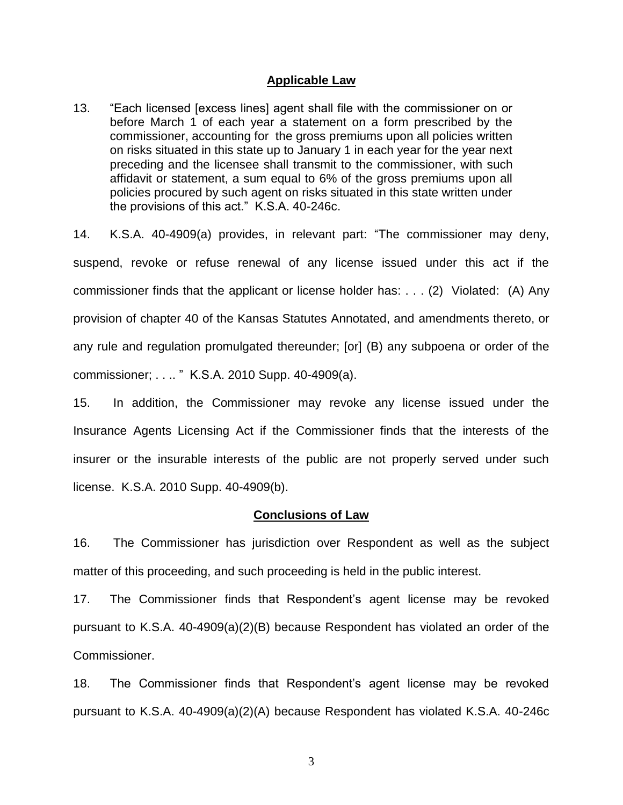#### **Applicable Law**

13. "Each licensed [excess lines] agent shall file with the commissioner on or before March 1 of each year a statement on a form prescribed by the commissioner, accounting for the gross premiums upon all policies written on risks situated in this state up to January 1 in each year for the year next preceding and the licensee shall transmit to the commissioner, with such affidavit or statement, a sum equal to 6% of the gross premiums upon all policies procured by such agent on risks situated in this state written under the provisions of this act." K.S.A. 40-246c.

14. K.S.A. 40-4909(a) provides, in relevant part: "The commissioner may deny, suspend, revoke or refuse renewal of any license issued under this act if the commissioner finds that the applicant or license holder has: . . . (2) Violated: (A) Any provision of chapter 40 of the Kansas Statutes Annotated, and amendments thereto, or any rule and regulation promulgated thereunder; [or] (B) any subpoena or order of the commissioner; . . .. " K.S.A. 2010 Supp. 40-4909(a).

15. In addition, the Commissioner may revoke any license issued under the Insurance Agents Licensing Act if the Commissioner finds that the interests of the insurer or the insurable interests of the public are not properly served under such license. K.S.A. 2010 Supp. 40-4909(b).

#### **Conclusions of Law**

16. The Commissioner has jurisdiction over Respondent as well as the subject matter of this proceeding, and such proceeding is held in the public interest.

17. The Commissioner finds that Respondent's agent license may be revoked pursuant to K.S.A. 40-4909(a)(2)(B) because Respondent has violated an order of the Commissioner.

18. The Commissioner finds that Respondent's agent license may be revoked pursuant to K.S.A. 40-4909(a)(2)(A) because Respondent has violated K.S.A. 40-246c

3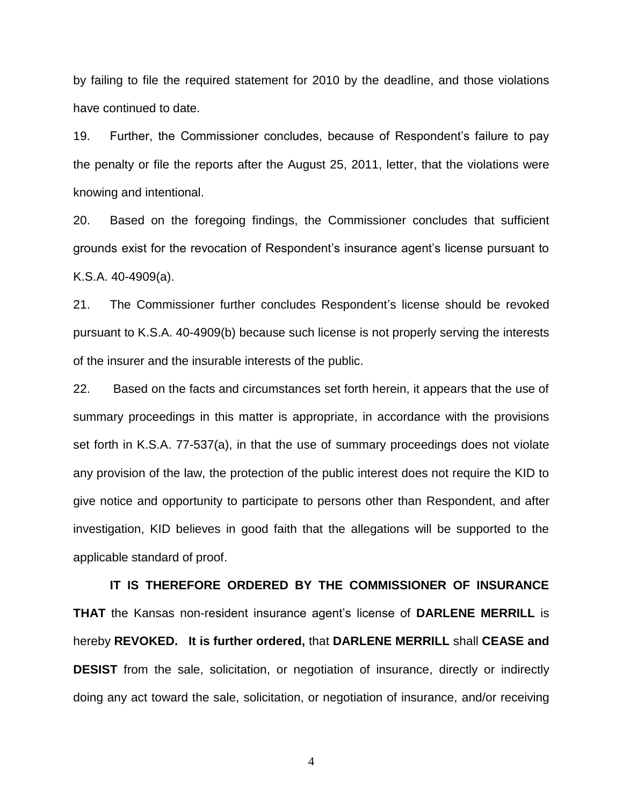by failing to file the required statement for 2010 by the deadline, and those violations have continued to date.

19. Further, the Commissioner concludes, because of Respondent's failure to pay the penalty or file the reports after the August 25, 2011, letter, that the violations were knowing and intentional.

20. Based on the foregoing findings, the Commissioner concludes that sufficient grounds exist for the revocation of Respondent's insurance agent's license pursuant to K.S.A. 40-4909(a).

21. The Commissioner further concludes Respondent's license should be revoked pursuant to K.S.A. 40-4909(b) because such license is not properly serving the interests of the insurer and the insurable interests of the public.

22. Based on the facts and circumstances set forth herein, it appears that the use of summary proceedings in this matter is appropriate, in accordance with the provisions set forth in K.S.A. 77-537(a), in that the use of summary proceedings does not violate any provision of the law, the protection of the public interest does not require the KID to give notice and opportunity to participate to persons other than Respondent, and after investigation, KID believes in good faith that the allegations will be supported to the applicable standard of proof.

**IT IS THEREFORE ORDERED BY THE COMMISSIONER OF INSURANCE THAT** the Kansas non-resident insurance agent's license of **DARLENE MERRILL** is hereby **REVOKED. It is further ordered,** that **DARLENE MERRILL** shall **CEASE and DESIST** from the sale, solicitation, or negotiation of insurance, directly or indirectly doing any act toward the sale, solicitation, or negotiation of insurance, and/or receiving

4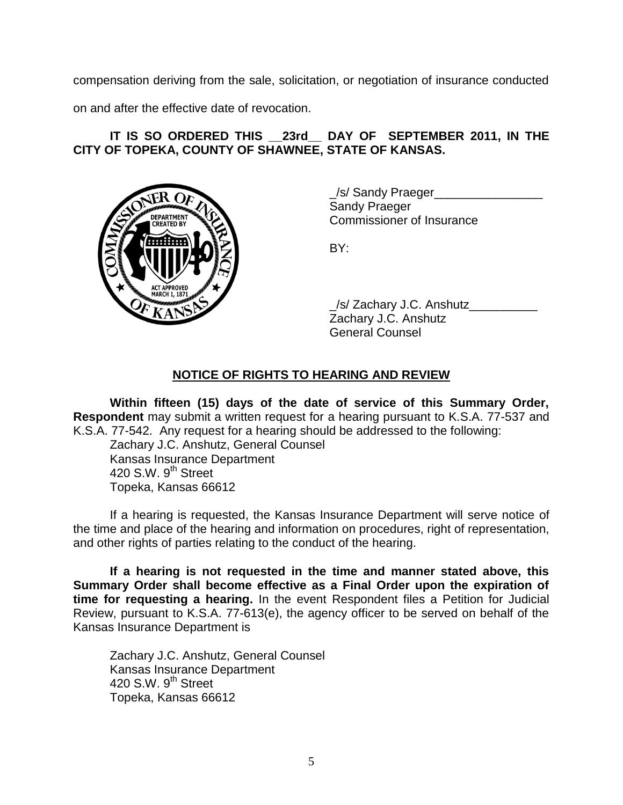compensation deriving from the sale, solicitation, or negotiation of insurance conducted

on and after the effective date of revocation.

## **IT IS SO ORDERED THIS \_\_23rd\_\_ DAY OF SEPTEMBER 2011, IN THE CITY OF TOPEKA, COUNTY OF SHAWNEE, STATE OF KANSAS.**



/s/ Sandy Praeger Sandy Praeger Commissioner of Insurance

BY:

\_/s/ Zachary J.C. Anshutz\_\_\_\_\_\_\_\_\_\_ Zachary J.C. Anshutz General Counsel

### **NOTICE OF RIGHTS TO HEARING AND REVIEW**

**Within fifteen (15) days of the date of service of this Summary Order, Respondent** may submit a written request for a hearing pursuant to K.S.A. 77-537 and K.S.A. 77-542. Any request for a hearing should be addressed to the following:

Zachary J.C. Anshutz, General Counsel Kansas Insurance Department 420 S.W. 9<sup>th</sup> Street Topeka, Kansas 66612

If a hearing is requested, the Kansas Insurance Department will serve notice of the time and place of the hearing and information on procedures, right of representation, and other rights of parties relating to the conduct of the hearing.

**If a hearing is not requested in the time and manner stated above, this Summary Order shall become effective as a Final Order upon the expiration of time for requesting a hearing.** In the event Respondent files a Petition for Judicial Review, pursuant to K.S.A. 77-613(e), the agency officer to be served on behalf of the Kansas Insurance Department is

Zachary J.C. Anshutz, General Counsel Kansas Insurance Department 420 S.W.  $9<sup>th</sup>$  Street Topeka, Kansas 66612